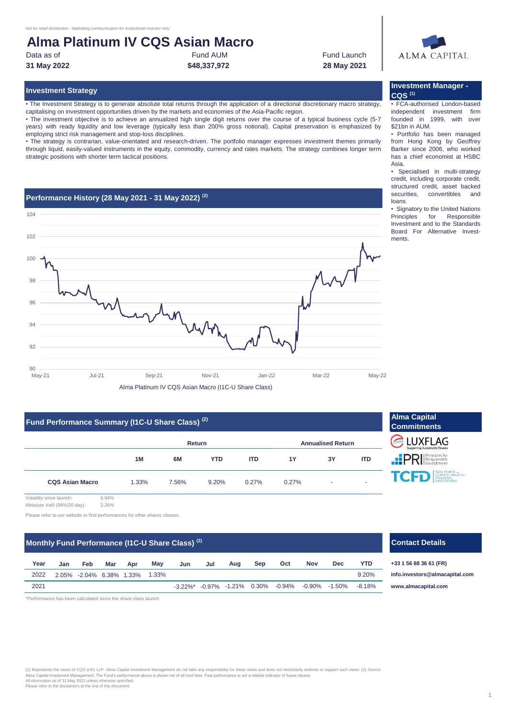## **Alma Platinum IV CQS Asian Macro**

Data as of **Fund AUM Fund AUM Fund Launch Fund Launch 31 May 2022 28 May 2021** Fund AUM **\$48,337,972**



## **Investment Strategy Investment Manager - CQS (1)**

• FCA-authorised London-based independent investment firm founded in 1999, with over \$21bn in AUM.

• Portfolio has been managed from Hong Kong by Geoffrey Barker since 2006, who worked has a chief economist at HSBC Asia.

• Specialised in multi-strategy credit, including corporate credit, structured credit, asset backed securities, convertibles and loans.

• Signatory to the United Nations Principles for Responsible Investment and to the Standards Board For Alternative Investments.

• The Investment Strategy is to generate absolute total returns through the application of a directional discretionary macro strategy, capitalising on investment opportunities driven by the markets and economies of the Asia-Pacific region.

• The investment objective is to achieve an annualized high single digit returns over the course of a typical business cycle (5-7 years) with ready liquidity and low leverage (typically less than 200% gross notional). Capital preservation is emphasized by employing strict risk management and stop-loss disciplines.

• The strategy is contrarian, value-orientated and research-driven. The portfolio manager expresses investment themes primarily through liquid, easily-valued instruments in the equity, commodity, currency and rates markets. The strategy combines longer term strategic positions with shorter term tactical positions.

## **Performance History (28 May 2021 - 31 May 2022) (2)**



## **Fund Performance Summary (I1C-U Share Class) (2)**

|                        | ,,,,,,,,,,,, |       | ,,,,,,,    |            |                          |    |            |
|------------------------|--------------|-------|------------|------------|--------------------------|----|------------|
|                        | Return       |       |            |            | <b>Annualised Return</b> |    |            |
|                        | 1M           | 6M    | <b>YTD</b> | <b>ITD</b> | <b>1Y</b>                | 3Y | <b>ITD</b> |
| <b>CQS Asian Macro</b> | 1.33%        | 7.56% | 9.20%      | 0.27%      | 0.27%                    | ۰  | -          |



Volatility since launch: 6.94% Absolute VaR (99%/20 day): 2.26%

Please refer to our website to find performances for other shares classes.

## **Monthly Fund Performance (I1C-U Share Class)<sup>(2)</sup> <b>Contact Details Contact Details**

| Year | Jan                            | Feb | Mar | Apr | May | Jun | Jul | Aug | <b>Sep</b> | Oct | <b>Nov</b> | <b>Dec</b>                                                                    | YTD.  |
|------|--------------------------------|-----|-----|-----|-----|-----|-----|-----|------------|-----|------------|-------------------------------------------------------------------------------|-------|
| 2022 | 2.05% -2.04% 6.38% 1.33% 1.33% |     |     |     |     |     |     |     |            |     |            |                                                                               | 9.20% |
| 2021 |                                |     |     |     |     |     |     |     |            |     |            | $-3.22\%$ * $-0.97\%$ $-1.21\%$ 0.30% $-0.94\%$ $-0.90\%$ $-1.50\%$ $-8.18\%$ |       |

\*Performance has been calculated since the share class launch

# (1) Represents the views of CQS (UK) LLP. Alma Capital Investment Management do not take any responsibility for these views and does not necessarily endorse or support such views. (2) Source<br>All nformation as of 31 May 202

**Dec YTD +33 1 56 88 36 61 (FR) [info.in](mailto:info.investors@almacapital.com)vestors@almacapital.com [www.](http://www.almacapital.com/)almacapital.com**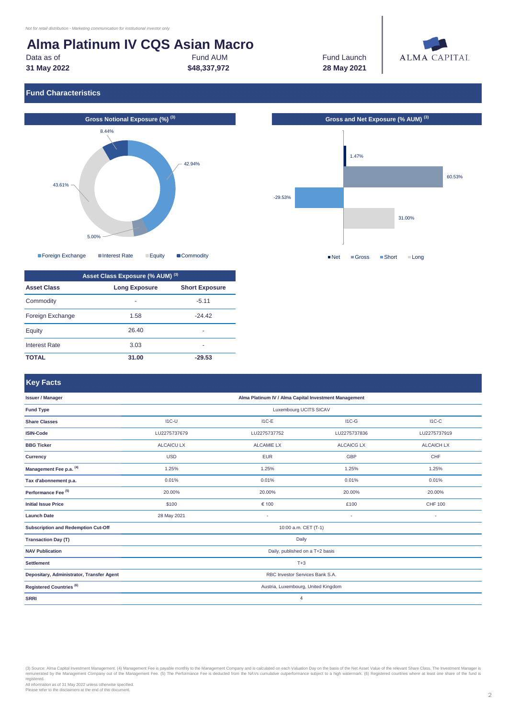## **Alma Platinum IV CQS Asian Macro**

Data as of **Fund AUM Example 20** Fund AUM **Fund Launch Fund Launch 31 May 2022 28 May 2021**

Fund AUM **\$48,337,972**



## **Fund Characteristics**





| Asset Class Exposure (% AUM) (3) |                      |                       |  |  |  |  |
|----------------------------------|----------------------|-----------------------|--|--|--|--|
| <b>Asset Class</b>               | <b>Long Exposure</b> | <b>Short Exposure</b> |  |  |  |  |
| Commodity                        | -                    | $-5.11$               |  |  |  |  |
| Foreign Exchange                 | 1.58                 | -24 42                |  |  |  |  |
| Equity                           | 26.40                | ۰                     |  |  |  |  |
| <b>Interest Rate</b>             | 3.03                 | ۰                     |  |  |  |  |
| ΤΟΤΑΙ                            | 31.00                | -29.53                |  |  |  |  |



## **Key Facts**

| <b>Issuer / Manager</b>                    | Alma Platinum IV / Alma Capital Investment Management |                   |                   |                   |  |  |  |
|--------------------------------------------|-------------------------------------------------------|-------------------|-------------------|-------------------|--|--|--|
| <b>Fund Type</b>                           | Luxembourg UCITS SICAV                                |                   |                   |                   |  |  |  |
| <b>Share Classes</b>                       | $IC-U$                                                | $I1C-E$           | $IC-G$            | $IC-C$            |  |  |  |
| <b>ISIN-Code</b>                           | LU2275737679                                          | LU2275737752      | LU2275737836      | LU2275737919      |  |  |  |
| <b>BBG Ticker</b>                          | <b>ALCAICU LX</b>                                     | <b>ALCAMIE LX</b> | <b>ALCAICG LX</b> | <b>ALCAICH LX</b> |  |  |  |
| <b>Currency</b>                            | <b>USD</b>                                            | <b>EUR</b>        | <b>GBP</b>        | <b>CHF</b>        |  |  |  |
| Management Fee p.a. (4)                    | 1.25%                                                 | 1.25%             | 1.25%             | 1.25%             |  |  |  |
| Tax d'abonnement p.a.                      | 0.01%                                                 | 0.01%             | 0.01%             | 0.01%             |  |  |  |
| Performance Fee <sup>(5)</sup>             | 20.00%                                                | 20.00%            | 20.00%            | 20.00%            |  |  |  |
| <b>Initial Issue Price</b>                 | \$100                                                 | € 100             | £100              | <b>CHF 100</b>    |  |  |  |
| <b>Launch Date</b>                         | 28 May 2021                                           |                   | ٠                 |                   |  |  |  |
| <b>Subscription and Redemption Cut-Off</b> | 10:00 a.m. CET (T-1)                                  |                   |                   |                   |  |  |  |
| <b>Transaction Day (T)</b>                 | Daily                                                 |                   |                   |                   |  |  |  |
| <b>NAV Publication</b>                     | Daily, published on a T+2 basis                       |                   |                   |                   |  |  |  |
| <b>Settlement</b>                          | $T+3$                                                 |                   |                   |                   |  |  |  |
| Depositary, Administrator, Transfer Agent  | RBC Investor Services Bank S.A.                       |                   |                   |                   |  |  |  |
| Registered Countries <sup>(6)</sup>        | Austria, Luxembourg, United Kingdom                   |                   |                   |                   |  |  |  |
| <b>SRRI</b>                                | $\overline{4}$                                        |                   |                   |                   |  |  |  |
|                                            |                                                       |                   |                   |                   |  |  |  |

(3) Source: Alma Capital Investment Management. (4) Management Fee is payable monthly to the Management Company and is calculated on each Valuation Day on the basis of the Net Asset Value of the relevant Share Class. The I

registered. All information as of 31 May 2022 unless otherwise specified. Please refer to the disclaimers at the end of this document.